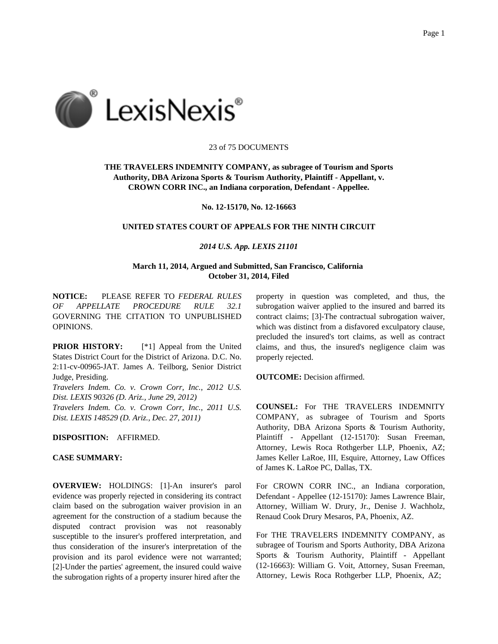

#### 23 of 75 DOCUMENTS

# **THE TRAVELERS INDEMNITY COMPANY, as subragee of Tourism and Sports Authority, DBA Arizona Sports & Tourism Authority, Plaintiff - Appellant, v. CROWN CORR INC., an Indiana corporation, Defendant - Appellee.**

**No. 12-15170, No. 12-16663**

# **UNITED STATES COURT OF APPEALS FOR THE NINTH CIRCUIT**

## *2014 U.S. App. LEXIS 21101*

# **March 11, 2014, Argued and Submitted, San Francisco, California October 31, 2014, Filed**

**NOTICE:** PLEASE REFER TO *FEDERAL RULES OF APPELLATE PROCEDURE RULE 32.1* GOVERNING THE CITATION TO UNPUBLISHED OPINIONS.

**PRIOR HISTORY:** [\*1] Appeal from the United States District Court for the District of Arizona. D.C. No. 2:11-cv-00965-JAT. James A. Teilborg, Senior District Judge, Presiding.

*Travelers Indem. Co. v. Crown Corr, Inc., 2012 U.S. Dist. LEXIS 90326 (D. Ariz., June 29, 2012) Travelers Indem. Co. v. Crown Corr, Inc., 2011 U.S. Dist. LEXIS 148529 (D. Ariz., Dec. 27, 2011)*

**DISPOSITION:** AFFIRMED.

# **CASE SUMMARY:**

**OVERVIEW:** HOLDINGS: [1]-An insurer's parol evidence was properly rejected in considering its contract claim based on the subrogation waiver provision in an agreement for the construction of a stadium because the disputed contract provision was not reasonably susceptible to the insurer's proffered interpretation, and thus consideration of the insurer's interpretation of the provision and its parol evidence were not warranted; [2]-Under the parties' agreement, the insured could waive the subrogation rights of a property insurer hired after the

property in question was completed, and thus, the subrogation waiver applied to the insured and barred its contract claims; [3]-The contractual subrogation waiver, which was distinct from a disfavored exculpatory clause, precluded the insured's tort claims, as well as contract claims, and thus, the insured's negligence claim was properly rejected.

**OUTCOME:** Decision affirmed.

**COUNSEL:** For THE TRAVELERS INDEMNITY COMPANY, as subragee of Tourism and Sports Authority, DBA Arizona Sports & Tourism Authority, Plaintiff - Appellant (12-15170): Susan Freeman, Attorney, Lewis Roca Rothgerber LLP, Phoenix, AZ; James Keller LaRoe, III, Esquire, Attorney, Law Offices of James K. LaRoe PC, Dallas, TX.

For CROWN CORR INC., an Indiana corporation, Defendant - Appellee (12-15170): James Lawrence Blair, Attorney, William W. Drury, Jr., Denise J. Wachholz, Renaud Cook Drury Mesaros, PA, Phoenix, AZ.

For THE TRAVELERS INDEMNITY COMPANY, as subragee of Tourism and Sports Authority, DBA Arizona Sports & Tourism Authority, Plaintiff - Appellant (12-16663): William G. Voit, Attorney, Susan Freeman, Attorney, Lewis Roca Rothgerber LLP, Phoenix, AZ;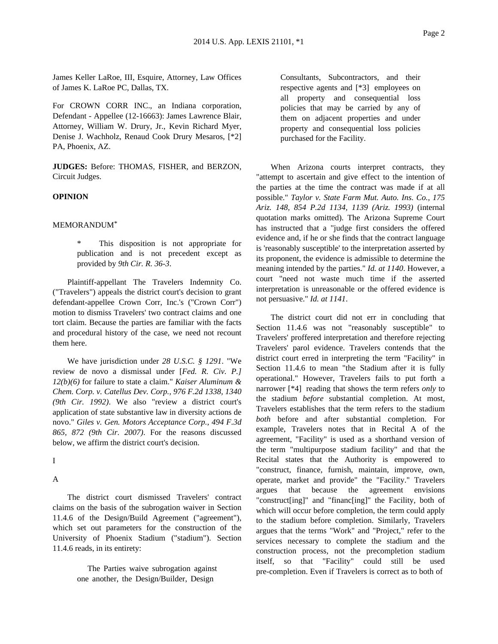James Keller LaRoe, III, Esquire, Attorney, Law Offices of James K. LaRoe PC, Dallas, TX.

For CROWN CORR INC., an Indiana corporation, Defendant - Appellee (12-16663): James Lawrence Blair, Attorney, William W. Drury, Jr., Kevin Richard Myer, Denise J. Wachholz, Renaud Cook Drury Mesaros, [\*2] PA, Phoenix, AZ.

**JUDGES:** Before: THOMAS, FISHER, and BERZON, Circuit Judges.

## **OPINION**

MEMORANDUM\*

This disposition is not appropriate for publication and is not precedent except as provided by *9th Cir. R. 36-3*.

Plaintiff-appellant The Travelers Indemnity Co. ("Travelers") appeals the district court's decision to grant defendant-appellee Crown Corr, Inc.'s ("Crown Corr") motion to dismiss Travelers' two contract claims and one tort claim. Because the parties are familiar with the facts and procedural history of the case, we need not recount them here.

We have jurisdiction under *28 U.S.C. § 1291*. "We review de novo a dismissal under [*Fed. R. Civ. P.] 12(b)(6)* for failure to state a claim." *Kaiser Aluminum & Chem. Corp. v. Catellus Dev. Corp., 976 F.2d 1338, 1340 (9th Cir. 1992)*. We also "review a district court's application of state substantive law in diversity actions de novo." *Giles v. Gen. Motors Acceptance Corp., 494 F.3d 865, 872 (9th Cir. 2007)*. For the reasons discussed below, we affirm the district court's decision.

I

A

The district court dismissed Travelers' contract claims on the basis of the subrogation waiver in Section 11.4.6 of the Design/Build Agreement ("agreement"), which set out parameters for the construction of the University of Phoenix Stadium ("stadium"). Section 11.4.6 reads, in its entirety:

> The Parties waive subrogation against one another, the Design/Builder, Design

Consultants, Subcontractors, and their respective agents and [\*3] employees on all property and consequential loss policies that may be carried by any of them on adjacent properties and under property and consequential loss policies purchased for the Facility.

When Arizona courts interpret contracts, they "attempt to ascertain and give effect to the intention of the parties at the time the contract was made if at all possible." *Taylor v. State Farm Mut. Auto. Ins. Co., 175 Ariz. 148, 854 P.2d 1134, 1139 (Ariz. 1993)* (internal quotation marks omitted). The Arizona Supreme Court has instructed that a "judge first considers the offered evidence and, if he or she finds that the contract language is 'reasonably susceptible' to the interpretation asserted by its proponent, the evidence is admissible to determine the meaning intended by the parties." *Id. at 1140*. However, a court "need not waste much time if the asserted interpretation is unreasonable or the offered evidence is not persuasive." *Id. at 1141*.

The district court did not err in concluding that Section 11.4.6 was not "reasonably susceptible" to Travelers' proffered interpretation and therefore rejecting Travelers' parol evidence. Travelers contends that the district court erred in interpreting the term "Facility" in Section 11.4.6 to mean "the Stadium after it is fully operational." However, Travelers fails to put forth a narrower [\*4] reading that shows the term refers *only* to the stadium *before* substantial completion. At most, Travelers establishes that the term refers to the stadium *both* before and after substantial completion. For example, Travelers notes that in Recital A of the agreement, "Facility" is used as a shorthand version of the term "multipurpose stadium facility" and that the Recital states that the Authority is empowered to "construct, finance, furnish, maintain, improve, own, operate, market and provide" the "Facility." Travelers argues that because the agreement envisions "construct[ing]" and "financ[ing]" the Facility, both of which will occur before completion, the term could apply to the stadium before completion. Similarly, Travelers argues that the terms "Work" and "Project," refer to the services necessary to complete the stadium and the construction process, not the precompletion stadium itself, so that "Facility" could still be used pre-completion. Even if Travelers is correct as to both of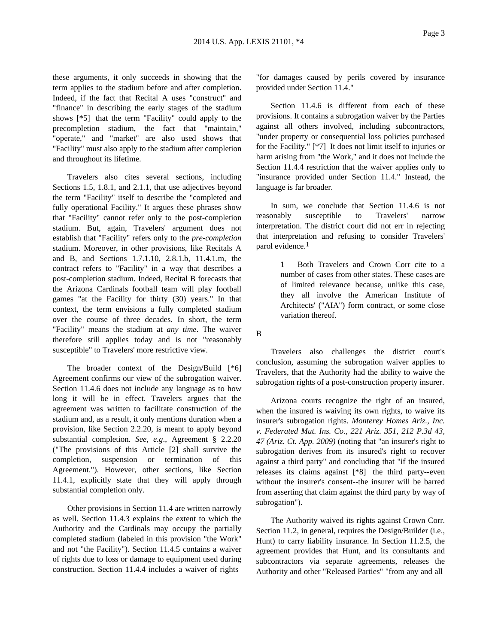these arguments, it only succeeds in showing that the term applies to the stadium before and after completion. Indeed, if the fact that Recital A uses "construct" and "finance" in describing the early stages of the stadium shows [\*5] that the term "Facility" could apply to the precompletion stadium, the fact that "maintain," "operate," and "market" are also used shows that "Facility" must also apply to the stadium after completion and throughout its lifetime.

Travelers also cites several sections, including Sections 1.5, 1.8.1, and 2.1.1, that use adjectives beyond the term "Facility" itself to describe the "completed and fully operational Facility." It argues these phrases show that "Facility" cannot refer only to the post-completion stadium. But, again, Travelers' argument does not establish that "Facility" refers only to the *pre-completion* stadium. Moreover, in other provisions, like Recitals A and B, and Sections 1.7.1.10, 2.8.1.b, 11.4.1.m, the contract refers to "Facility" in a way that describes a post-completion stadium. Indeed, Recital B forecasts that the Arizona Cardinals football team will play football games "at the Facility for thirty (30) years." In that context, the term envisions a fully completed stadium over the course of three decades. In short, the term "Facility" means the stadium at *any time*. The waiver therefore still applies today and is not "reasonably susceptible" to Travelers' more restrictive view.

The broader context of the Design/Build [\*6] Agreement confirms our view of the subrogation waiver. Section 11.4.6 does not include any language as to how long it will be in effect. Travelers argues that the agreement was written to facilitate construction of the stadium and, as a result, it only mentions duration when a provision, like Section 2.2.20, is meant to apply beyond substantial completion. *See, e.g*., Agreement § 2.2.20 ("The provisions of this Article [2] shall survive the completion, suspension or termination of this Agreement."). However, other sections, like Section 11.4.1, explicitly state that they will apply through substantial completion only.

Other provisions in Section 11.4 are written narrowly as well. Section 11.4.3 explains the extent to which the Authority and the Cardinals may occupy the partially completed stadium (labeled in this provision "the Work" and not "the Facility"). Section 11.4.5 contains a waiver of rights due to loss or damage to equipment used during construction. Section 11.4.4 includes a waiver of rights

"for damages caused by perils covered by insurance provided under Section 11.4."

Section 11.4.6 is different from each of these provisions. It contains a subrogation waiver by the Parties against all others involved, including subcontractors, "under property or consequential loss policies purchased for the Facility." [\*7] It does not limit itself to injuries or harm arising from "the Work," and it does not include the Section 11.4.4 restriction that the waiver applies only to "insurance provided under Section 11.4." Instead, the language is far broader.

In sum, we conclude that Section 11.4.6 is not reasonably susceptible to Travelers' narrow interpretation. The district court did not err in rejecting that interpretation and refusing to consider Travelers' parol evidence.1

> 1 Both Travelers and Crown Corr cite to a number of cases from other states. These cases are of limited relevance because, unlike this case, they all involve the American Institute of Architects' ("AIA") form contract, or some close variation thereof.

B

Travelers also challenges the district court's conclusion, assuming the subrogation waiver applies to Travelers, that the Authority had the ability to waive the subrogation rights of a post-construction property insurer.

Arizona courts recognize the right of an insured, when the insured is waiving its own rights, to waive its insurer's subrogation rights. *Monterey Homes Ariz., Inc. v. Federated Mut. Ins. Co., 221 Ariz. 351, 212 P.3d 43, 47 (Ariz. Ct. App. 2009)* (noting that "an insurer's right to subrogation derives from its insured's right to recover against a third party" and concluding that "if the insured releases its claims against [\*8] the third party--even without the insurer's consent--the insurer will be barred from asserting that claim against the third party by way of subrogation").

The Authority waived its rights against Crown Corr. Section 11.2, in general, requires the Design/Builder (i.e., Hunt) to carry liability insurance. In Section 11.2.5, the agreement provides that Hunt, and its consultants and subcontractors via separate agreements, releases the Authority and other "Released Parties" "from any and all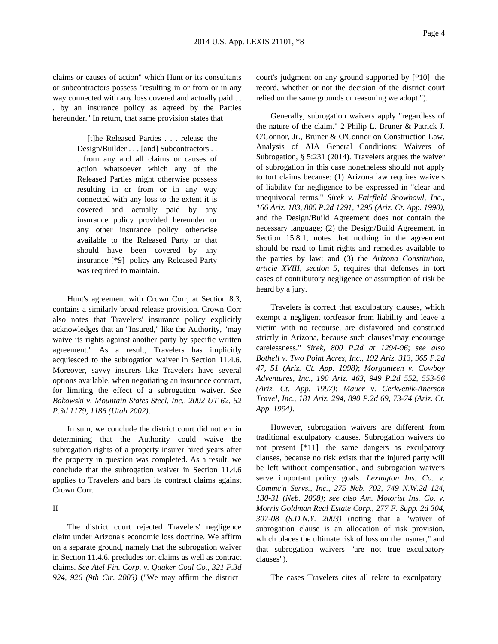claims or causes of action" which Hunt or its consultants or subcontractors possess "resulting in or from or in any way connected with any loss covered and actually paid . . . by an insurance policy as agreed by the Parties hereunder." In return, that same provision states that

> [t]he Released Parties . . . release the Design/Builder . . . [and] Subcontractors . . . from any and all claims or causes of action whatsoever which any of the Released Parties might otherwise possess resulting in or from or in any way connected with any loss to the extent it is covered and actually paid by any insurance policy provided hereunder or any other insurance policy otherwise available to the Released Party or that should have been covered by any insurance [\*9] policy any Released Party was required to maintain.

Hunt's agreement with Crown Corr, at Section 8.3, contains a similarly broad release provision. Crown Corr also notes that Travelers' insurance policy explicitly acknowledges that an "Insured," like the Authority, "may waive its rights against another party by specific written agreement." As a result, Travelers has implicitly acquiesced to the subrogation waiver in Section 11.4.6. Moreover, savvy insurers like Travelers have several options available, when negotiating an insurance contract, for limiting the effect of a subrogation waiver. *See Bakowski v. Mountain States Steel, Inc., 2002 UT 62, 52 P.3d 1179, 1186 (Utah 2002)*.

In sum, we conclude the district court did not err in determining that the Authority could waive the subrogation rights of a property insurer hired years after the property in question was completed. As a result, we conclude that the subrogation waiver in Section 11.4.6 applies to Travelers and bars its contract claims against Crown Corr.

#### II

The district court rejected Travelers' negligence claim under Arizona's economic loss doctrine. We affirm on a separate ground, namely that the subrogation waiver in Section 11.4.6. precludes tort claims as well as contract claims. *See Atel Fin. Corp. v. Quaker Coal Co., 321 F.3d 924, 926 (9th Cir. 2003)* ("We may affirm the district

court's judgment on any ground supported by [\*10] the record, whether or not the decision of the district court relied on the same grounds or reasoning we adopt.").

Generally, subrogation waivers apply "regardless of the nature of the claim." 2 Philip L. Bruner & Patrick J. O'Connor, Jr., Bruner & O'Connor on Construction Law, Analysis of AIA General Conditions: Waivers of Subrogation, § 5:231 (2014). Travelers argues the waiver of subrogation in this case nonetheless should not apply to tort claims because: (1) Arizona law requires waivers of liability for negligence to be expressed in "clear and unequivocal terms," *Sirek v. Fairfield Snowbowl, Inc., 166 Ariz. 183, 800 P.2d 1291, 1295 (Ariz. Ct. App. 1990)*, and the Design/Build Agreement does not contain the necessary language; (2) the Design/Build Agreement, in Section 15.8.1, notes that nothing in the agreement should be read to limit rights and remedies available to the parties by law; and (3) the *Arizona Constitution, article XVIII, section 5*, requires that defenses in tort cases of contributory negligence or assumption of risk be heard by a jury.

Travelers is correct that exculpatory clauses, which exempt a negligent tortfeasor from liability and leave a victim with no recourse, are disfavored and construed strictly in Arizona, because such clauses"may encourage carelessness." *Sirek, 800 P.2d at 1294-96*; *see also Bothell v. Two Point Acres, Inc., 192 Ariz. 313, 965 P.2d 47, 51 (Ariz. Ct. App. 1998)*; *Morganteen v. Cowboy Adventures, Inc., 190 Ariz. 463, 949 P.2d 552, 553-56 (Ariz. Ct. App. 1997)*; *Mauer v. Cerkvenik-Anerson Travel, Inc., 181 Ariz. 294, 890 P.2d 69, 73-74 (Ariz. Ct. App. 1994)*.

However, subrogation waivers are different from traditional exculpatory clauses. Subrogation waivers do not present [\*11] the same dangers as exculpatory clauses, because no risk exists that the injured party will be left without compensation, and subrogation waivers serve important policy goals. *Lexington Ins. Co. v. Commc'n Servs., Inc., 275 Neb. 702, 749 N.W.2d 124, 130-31 (Neb. 2008)*; *see also Am. Motorist Ins. Co. v. Morris Goldman Real Estate Corp., 277 F. Supp. 2d 304, 307-08 (S.D.N.Y. 2003)* (noting that a "waiver of subrogation clause is an allocation of risk provision, which places the ultimate risk of loss on the insurer," and that subrogation waivers "are not true exculpatory clauses").

The cases Travelers cites all relate to exculpatory